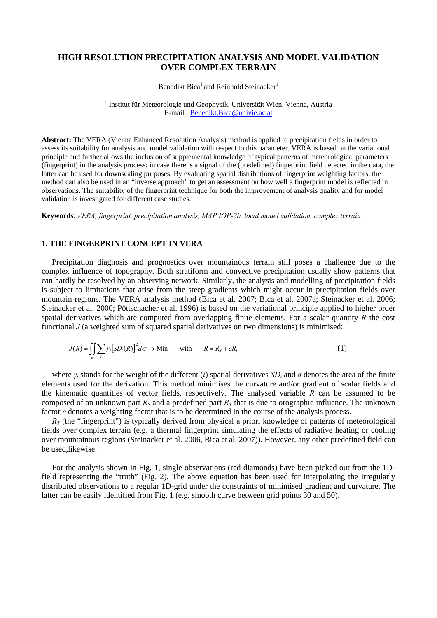# **HIGH RESOLUTION PRECIPITATION ANALYSIS AND MODEL VALIDATION OVER COMPLEX TERRAIN**

**Benedikt Bica<sup>1</sup>** and Reinhold Steinacker<sup>1</sup>

<sup>1</sup> Institut für Meteorologie und Geophysik, Universität Wien, Vienna, Austria E-mail : Benedikt.Bica@univie.ac.at

**Abstract:** The VERA (Vienna Enhanced Resolution Analysis) method is applied to precipitation fields in order to assess its suitability for analysis and model validation with respect to this parameter. VERA is based on the variational principle and further allows the inclusion of supplemental knowledge of typical patterns of meteorological parameters (fingerprint) in the analysis process: in case there is a signal of the (predefined) fingerprint field detected in the data, the latter can be used for downscaling purposes. By evaluating spatial distributions of fingerprint weighting factors, the method can also be used in an "inverse approach" to get an assessment on how well a fingerprint model is reflected in observations. The suitability of the fingerprint technique for both the improvement of analysis quality and for model validation is investigated for different case studies.

**Keywords**: *VERA, fingerprint, precipitation analysis, MAP IOP-2b, local model validation, complex terrain* 

### **1. THE FINGERPRINT CONCEPT IN VERA**

Precipitation diagnosis and prognostics over mountainous terrain still poses a challenge due to the complex influence of topography. Both stratiform and convective precipitation usually show patterns that can hardly be resolved by an observing network. Similarly, the analysis and modelling of precipitation fields is subject to limitations that arise from the steep gradients which might occur in precipitation fields over mountain regions. The VERA analysis method (Bica et al. 2007; Bica et al. 2007a; Steinacker et al. 2006; Steinacker et al. 2000; Pöttschacher et al. 1996) is based on the variational principle applied to higher order spatial derivatives which are computed from overlapping finite elements. For a scalar quantity *R* the cost functional *J* (a weighted sum of squared spatial derivatives on two dimensions) is minimised:

$$
J(R) = \iint_{\sigma} \sum_{i} \gamma_i \left[ SD_i(R) \right]^2 d\sigma \to \text{Min} \qquad \text{with} \qquad R = R_S + cR_T \tag{1}
$$

where  $\gamma_i$  stands for the weight of the different (*i*) spatial derivatives  $SD_i$  and  $\sigma$  denotes the area of the finite elements used for the derivation. This method minimises the curvature and/or gradient of scalar fields and the kinematic quantities of vector fields, respectively. The analysed variable  $R$  can be assumed to be composed of an unknown part  $R<sub>S</sub>$  and a predefined part  $R<sub>T</sub>$  that is due to orographic influence. The unknown factor *c* denotes a weighting factor that is to be determined in the course of the analysis process.

 $R<sub>T</sub>$  (the "fingerprint") is typically derived from physical a priori knowledge of patterns of meteorological fields over complex terrain (e.g. a thermal fingerprint simulating the effects of radiative heating or cooling over mountainous regions (Steinacker et al. 2006, Bica et al. 2007)). However, any other predefined field can be used,likewise.

For the analysis shown in Fig. 1, single observations (red diamonds) have been picked out from the 1Dfield representing the "truth" (Fig. 2). The above equation has been used for interpolating the irregularly distributed observations to a regular 1D-grid under the constraints of minimised gradient and curvature. The latter can be easily identified from Fig. 1 (e.g. smooth curve between grid points 30 and 50).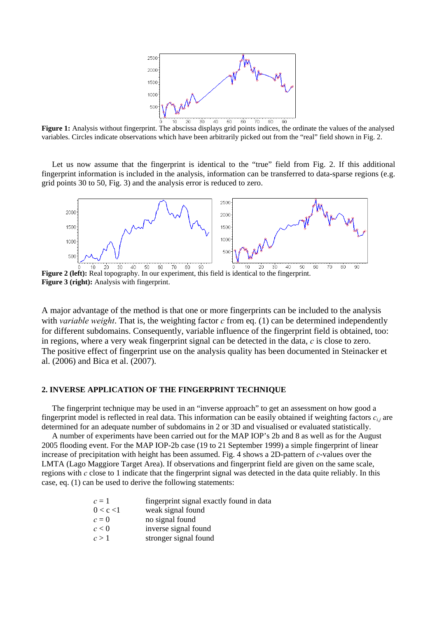

**Figure 1:** Analysis without fingerprint. The abscissa displays grid points indices, the ordinate the values of the analysed variables. Circles indicate observations which have been arbitrarily picked out from the "real" field shown in Fig. 2.

Let us now assume that the fingerprint is identical to the "true" field from Fig. 2. If this additional fingerprint information is included in the analysis, information can be transferred to data-sparse regions (e.g. grid points 30 to 50, Fig. 3) and the analysis error is reduced to zero.



**Figure 2 (left):** Real topography. In our experiment, this field is identical to the fingerprint. **Figure 3 (right):** Analysis with fingerprint.

A major advantage of the method is that one or more fingerprints can be included to the analysis with *variable weight*. That is, the weighting factor *c* from eq. (1) can be determined independently for different subdomains. Consequently, variable influence of the fingerprint field is obtained, too: in regions, where a very weak fingerprint signal can be detected in the data, *c* is close to zero. The positive effect of fingerprint use on the analysis quality has been documented in Steinacker et al. (2006) and Bica et al. (2007).

## **2. INVERSE APPLICATION OF THE FINGERPRINT TECHNIQUE**

The fingerprint technique may be used in an "inverse approach" to get an assessment on how good a fingerprint model is reflected in real data. This information can be easily obtained if weighting factors  $c_{ij}$  are determined for an adequate number of subdomains in 2 or 3D and visualised or evaluated statistically.

A number of experiments have been carried out for the MAP IOP's 2b and 8 as well as for the August 2005 flooding event. For the MAP IOP-2b case (19 to 21 September 1999) a simple fingerprint of linear increase of precipitation with height has been assumed. Fig. 4 shows a 2D-pattern of *c*-values over the LMTA (Lago Maggiore Target Area). If observations and fingerprint field are given on the same scale, regions with *c* close to 1 indicate that the fingerprint signal was detected in the data quite reliably. In this case, eq. (1) can be used to derive the following statements:

| $c=1$     | fingerprint signal exactly found in data |
|-----------|------------------------------------------|
| 0 < c < 1 | weak signal found                        |
| $c=0$     | no signal found                          |
| c < 0     | inverse signal found                     |
| c > 1     | stronger signal found                    |